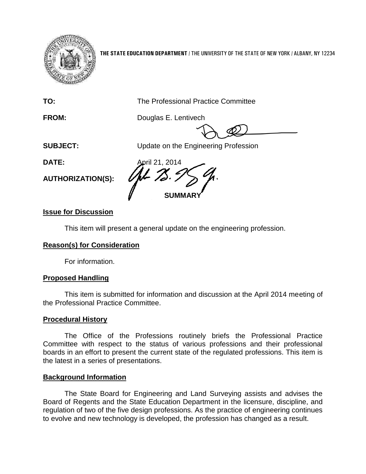

**THE STATE EDUCATION DEPARTMENT** / THE UNIVERSITY OF THE STATE OF NEW YORK / ALBANY, NY 12234

**TO:** The Professional Practice Committee

**FROM:** Douglas E. Lentivech

**SUBJECT:** Update on the Engineering Profession

**AUTHORIZATION(S):**

**DATE:** April 21, 2014 **SUMMARY**

# **Issue for Discussion**

This item will present a general update on the engineering profession.

# **Reason(s) for Consideration**

For information.

# **Proposed Handling**

This item is submitted for information and discussion at the April 2014 meeting of the Professional Practice Committee.

## **Procedural History**

The Office of the Professions routinely briefs the Professional Practice Committee with respect to the status of various professions and their professional boards in an effort to present the current state of the regulated professions. This item is the latest in a series of presentations.

## **Background Information**

The State Board for Engineering and Land Surveying assists and advises the Board of Regents and the State Education Department in the licensure, discipline, and regulation of two of the five design professions. As the practice of engineering continues to evolve and new technology is developed, the profession has changed as a result.